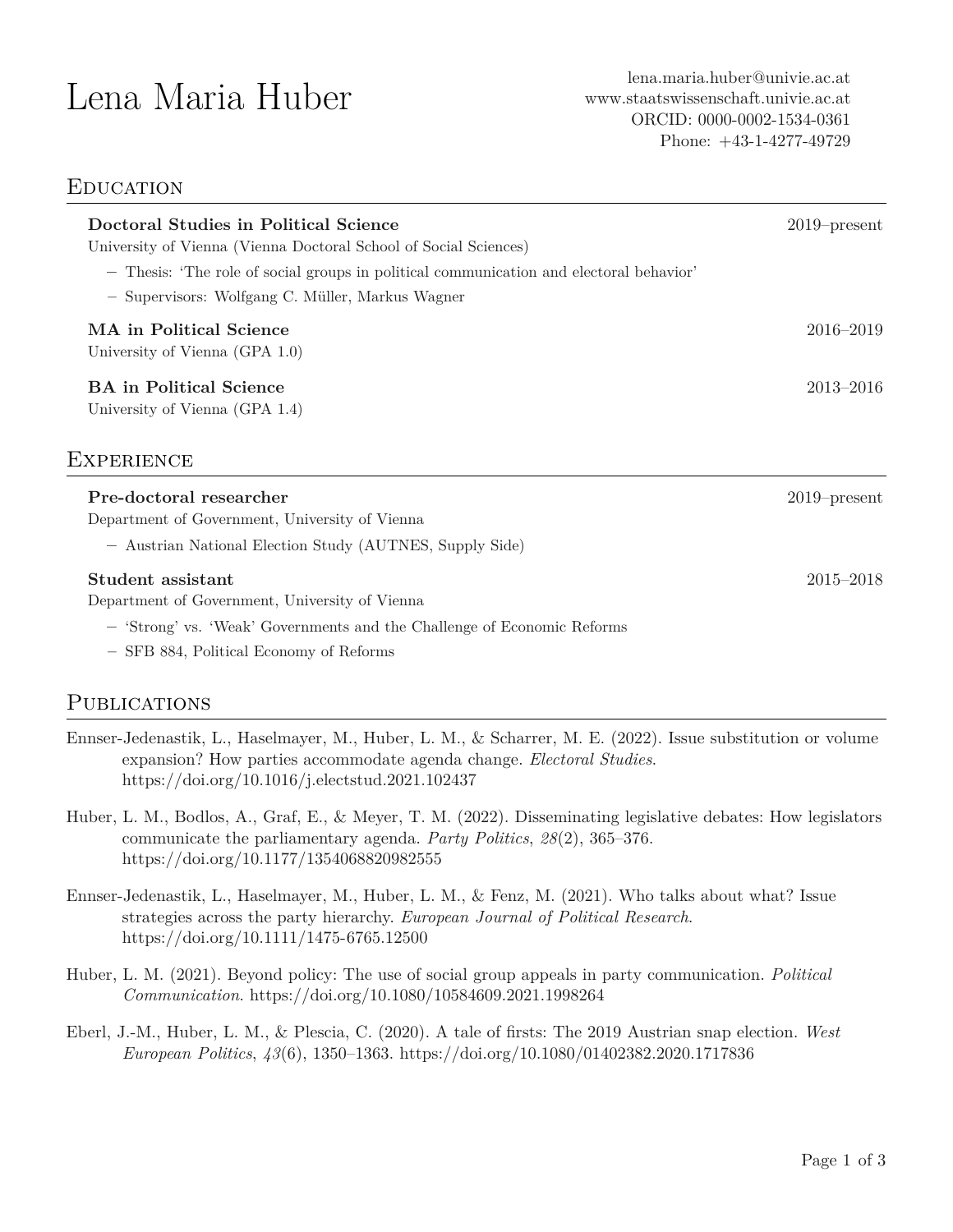# **EDUCATION**

| Doctoral Studies in Political Science<br>University of Vienna (Vienna Doctoral School of Social Sciences)                                                                                 | $2019$ -present |
|-------------------------------------------------------------------------------------------------------------------------------------------------------------------------------------------|-----------------|
| - Thesis: 'The role of social groups in political communication and electoral behavior'<br>- Supervisors: Wolfgang C. Müller, Markus Wagner                                               |                 |
| MA in Political Science<br>University of Vienna (GPA 1.0)                                                                                                                                 | 2016-2019       |
| <b>BA</b> in Political Science<br>University of Vienna (GPA 1.4)                                                                                                                          | $2013 - 2016$   |
| EXPERIENCE                                                                                                                                                                                |                 |
| Pre-doctoral researcher<br>Department of Government, University of Vienna<br>- Austrian National Election Study (AUTNES, Supply Side)                                                     | $2019$ -present |
| Student assistant<br>Department of Government, University of Vienna<br>- 'Strong' vs. 'Weak' Governments and the Challenge of Economic Reforms<br>- SFB 884, Political Economy of Reforms | $2015 - 2018$   |

# **PUBLICATIONS**

- Ennser-Jedenastik, L., Haselmayer, M., Huber, L. M., & Scharrer, M. E. (2022). Issue substitution or volume expansion? How parties accommodate agenda change. *Electoral Studies*. <https://doi.org/10.1016/j.electstud.2021.102437>
- Huber, L. M., Bodlos, A., Graf, E., & Meyer, T. M. (2022). Disseminating legislative debates: How legislators communicate the parliamentary agenda. *Party Politics*, *28*(2), 365–376. <https://doi.org/10.1177/1354068820982555>
- Ennser-Jedenastik, L., Haselmayer, M., Huber, L. M., & Fenz, M. (2021). Who talks about what? Issue strategies across the party hierarchy. *European Journal of Political Research*. <https://doi.org/10.1111/1475-6765.12500>
- Huber, L. M. (2021). Beyond policy: The use of social group appeals in party communication. *Political Communication*. <https://doi.org/10.1080/10584609.2021.1998264>
- Eberl, J.-M., Huber, L. M., & Plescia, C. (2020). A tale of firsts: The 2019 Austrian snap election. *West European Politics*, *43*(6), 1350–1363. <https://doi.org/10.1080/01402382.2020.1717836>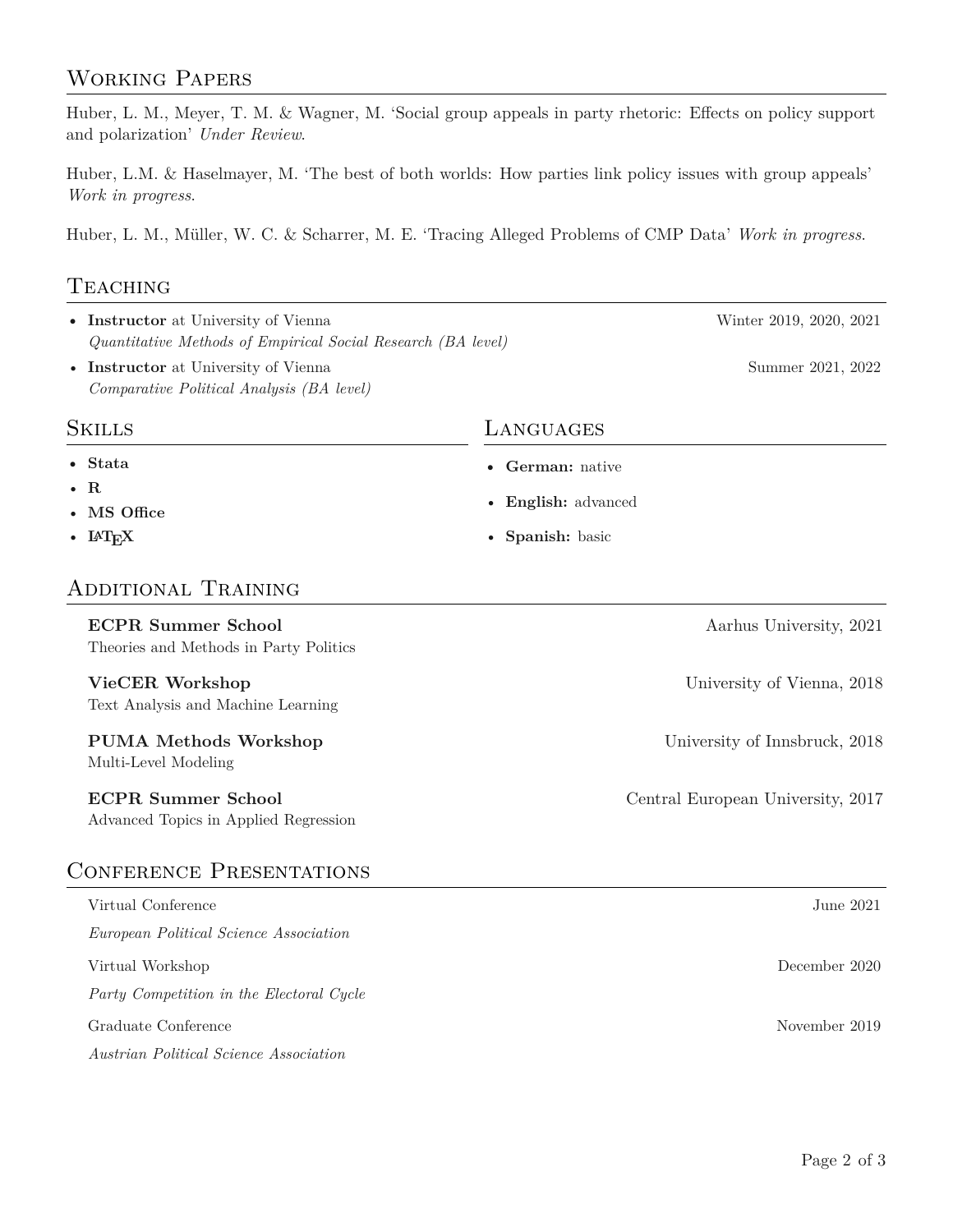# Working Papers

Huber, L. M., Meyer, T. M. & Wagner, M. 'Social group appeals in party rhetoric: Effects on policy support and polarization' *Under Review*.

Huber, L.M. & Haselmayer, M. 'The best of both worlds: How parties link policy issues with group appeals' *Work in progress*.

Huber, L. M., Müller, W. C. & Scharrer, M. E. 'Tracing Alleged Problems of CMP Data' *Work in progress*.

# **TEACHING**

- Instructor at University of Vienna Winter 2019, 2020, 2021 *Quantitative Methods of Empirical Social Research (BA level)*
- Instructor at University of Vienna Summer 2021, 2022 *Comparative Political Analysis (BA level)*

### Skills

- **Stata**
- **R**
- **MS Office**
- $\bullet$  L<sup>A</sup>T<sub>E</sub>X

# Additional Training

# **ECPR Summer School** Aarhus University, 2021 Theories and Methods in Party Politics **VieCER Workshop** University of Vienna, 2018 Text Analysis and Machine Learning **PUMA Methods Workshop** University of Innsbruck, 2018 Multi-Level Modeling **ECPR Summer School** Central European University, 2017 Advanced Topics in Applied Regression Conference Presentations Virtual Conference June 2021 *European Political Science Association* Virtual Workshop December 2020 *Party Competition in the Electoral Cycle*

Graduate Conference November 2019

*Austrian Political Science Association*

# Languages

- **German:** native
- **English:** advanced
- **Spanish:** basic